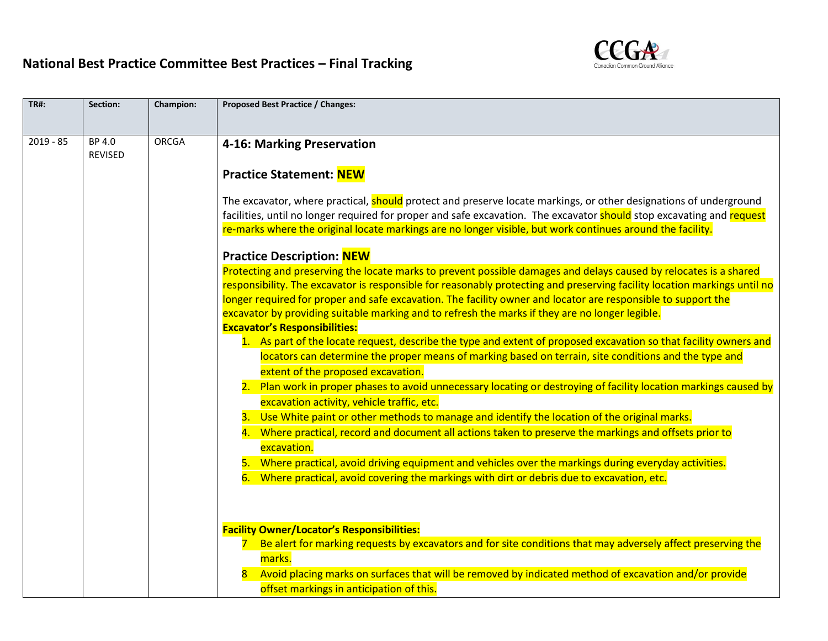

| <b>TR#:</b> | Section:                 | <b>Champion:</b> | <b>Proposed Best Practice / Changes:</b>                                                                                                                                                                                                                                                                                                                                                                                                                                                                                                                                                                                                                                                                                                                                                                                                                                                                                                                                                                                                                                                                                                                                                           |
|-------------|--------------------------|------------------|----------------------------------------------------------------------------------------------------------------------------------------------------------------------------------------------------------------------------------------------------------------------------------------------------------------------------------------------------------------------------------------------------------------------------------------------------------------------------------------------------------------------------------------------------------------------------------------------------------------------------------------------------------------------------------------------------------------------------------------------------------------------------------------------------------------------------------------------------------------------------------------------------------------------------------------------------------------------------------------------------------------------------------------------------------------------------------------------------------------------------------------------------------------------------------------------------|
| $2019 - 85$ | BP 4.0<br><b>REVISED</b> | <b>ORCGA</b>     | 4-16: Marking Preservation<br><b>Practice Statement: NEW</b>                                                                                                                                                                                                                                                                                                                                                                                                                                                                                                                                                                                                                                                                                                                                                                                                                                                                                                                                                                                                                                                                                                                                       |
|             |                          |                  | The excavator, where practical, <b>should</b> protect and preserve locate markings, or other designations of underground<br>facilities, until no longer required for proper and safe excavation. The excavator should stop excavating and request<br>re-marks where the original locate markings are no longer visible, but work continues around the facility.                                                                                                                                                                                                                                                                                                                                                                                                                                                                                                                                                                                                                                                                                                                                                                                                                                    |
|             |                          |                  | <b>Practice Description: NEW</b><br>Protecting and preserving the locate marks to prevent possible damages and delays caused by relocates is a shared<br>responsibility. The excavator is responsible for reasonably protecting and preserving facility location markings until no<br>longer required for proper and safe excavation. The facility owner and locator are responsible to support the<br>excavator by providing suitable marking and to refresh the marks if they are no longer legible.<br><b>Excavator's Responsibilities:</b><br>1. As part of the locate request, describe the type and extent of proposed excavation so that facility owners and<br>locators can determine the proper means of marking based on terrain, site conditions and the type and<br>extent of the proposed excavation.<br>2. Plan work in proper phases to avoid unnecessary locating or destroying of facility location markings caused by<br>excavation activity, vehicle traffic, etc.<br>3. Use White paint or other methods to manage and identify the location of the original marks.<br>4. Where practical, record and document all actions taken to preserve the markings and offsets prior to |
|             |                          |                  | excavation.<br>5. Where practical, avoid driving equipment and vehicles over the markings during everyday activities.<br>6. Where practical, avoid covering the markings with dirt or debris due to excavation, etc.<br><b>Facility Owner/Locator's Responsibilities:</b><br>Be alert for marking requests by excavators and for site conditions that may adversely affect preserving the<br>$7 -$                                                                                                                                                                                                                                                                                                                                                                                                                                                                                                                                                                                                                                                                                                                                                                                                 |
|             |                          |                  | marks.<br>Avoid placing marks on surfaces that will be removed by indicated method of excavation and/or provide<br>$\overline{8}$<br>offset markings in anticipation of this.                                                                                                                                                                                                                                                                                                                                                                                                                                                                                                                                                                                                                                                                                                                                                                                                                                                                                                                                                                                                                      |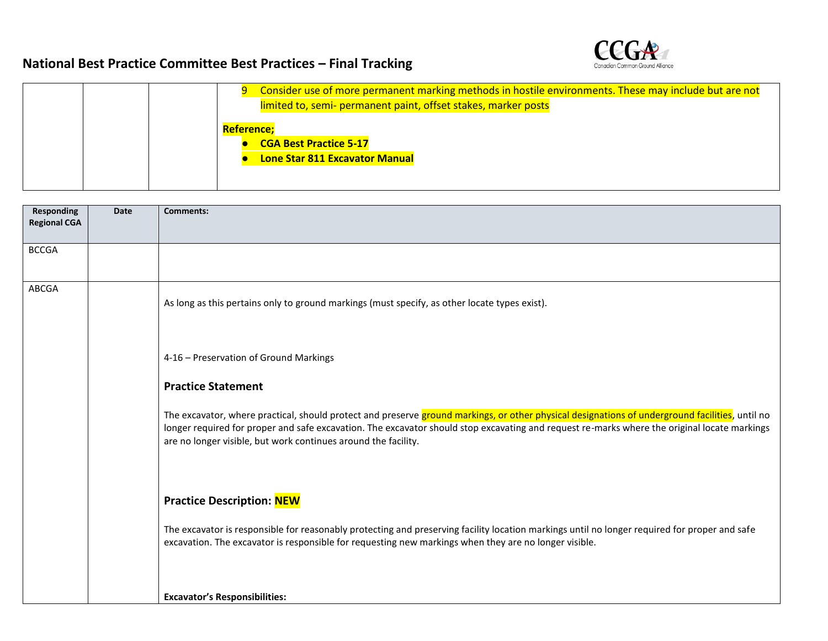

| Consider use of more permanent marking methods in hostile environments. These may include but are not |
|-------------------------------------------------------------------------------------------------------|
| limited to, semi- permanent paint, offset stakes, marker posts                                        |
| Reference:                                                                                            |
| <b>CGA Best Practice 5-17</b>                                                                         |
| Lone Star 811 Excavator Manual                                                                        |
|                                                                                                       |
|                                                                                                       |

| <b>Responding</b><br><b>Regional CGA</b> | Date | <b>Comments:</b>                                                                                                                                                                                                                                                                                                                                                  |
|------------------------------------------|------|-------------------------------------------------------------------------------------------------------------------------------------------------------------------------------------------------------------------------------------------------------------------------------------------------------------------------------------------------------------------|
| <b>BCCGA</b>                             |      |                                                                                                                                                                                                                                                                                                                                                                   |
| ABCGA                                    |      | As long as this pertains only to ground markings (must specify, as other locate types exist).                                                                                                                                                                                                                                                                     |
|                                          |      | 4-16 - Preservation of Ground Markings                                                                                                                                                                                                                                                                                                                            |
|                                          |      | <b>Practice Statement</b>                                                                                                                                                                                                                                                                                                                                         |
|                                          |      | The excavator, where practical, should protect and preserve ground markings, or other physical designations of underground facilities, until no<br>longer required for proper and safe excavation. The excavator should stop excavating and request re-marks where the original locate markings<br>are no longer visible, but work continues around the facility. |
|                                          |      | <b>Practice Description: NEW</b>                                                                                                                                                                                                                                                                                                                                  |
|                                          |      | The excavator is responsible for reasonably protecting and preserving facility location markings until no longer required for proper and safe<br>excavation. The excavator is responsible for requesting new markings when they are no longer visible.                                                                                                            |
|                                          |      | <b>Excavator's Responsibilities:</b>                                                                                                                                                                                                                                                                                                                              |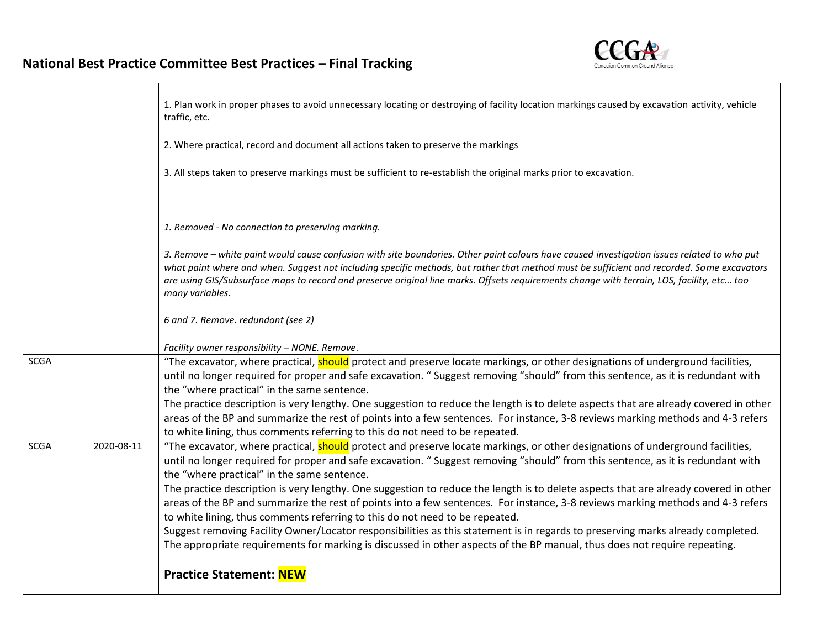

|             |            | 1. Plan work in proper phases to avoid unnecessary locating or destroying of facility location markings caused by excavation activity, vehicle<br>traffic, etc.                                                                                                                                                                                                                                                                                            |
|-------------|------------|------------------------------------------------------------------------------------------------------------------------------------------------------------------------------------------------------------------------------------------------------------------------------------------------------------------------------------------------------------------------------------------------------------------------------------------------------------|
|             |            | 2. Where practical, record and document all actions taken to preserve the markings                                                                                                                                                                                                                                                                                                                                                                         |
|             |            | 3. All steps taken to preserve markings must be sufficient to re-establish the original marks prior to excavation.                                                                                                                                                                                                                                                                                                                                         |
|             |            | 1. Removed - No connection to preserving marking.                                                                                                                                                                                                                                                                                                                                                                                                          |
|             |            |                                                                                                                                                                                                                                                                                                                                                                                                                                                            |
|             |            | 3. Remove - white paint would cause confusion with site boundaries. Other paint colours have caused investigation issues related to who put<br>what paint where and when. Suggest not including specific methods, but rather that method must be sufficient and recorded. Some excavators<br>are using GIS/Subsurface maps to record and preserve original line marks. Offsets requirements change with terrain, LOS, facility, etc too<br>many variables. |
|             |            | 6 and 7. Remove. redundant (see 2)                                                                                                                                                                                                                                                                                                                                                                                                                         |
|             |            | Facility owner responsibility - NONE. Remove.                                                                                                                                                                                                                                                                                                                                                                                                              |
| <b>SCGA</b> |            | "The excavator, where practical, should protect and preserve locate markings, or other designations of underground facilities,                                                                                                                                                                                                                                                                                                                             |
|             |            | until no longer required for proper and safe excavation. "Suggest removing "should" from this sentence, as it is redundant with                                                                                                                                                                                                                                                                                                                            |
|             |            | the "where practical" in the same sentence.                                                                                                                                                                                                                                                                                                                                                                                                                |
|             |            | The practice description is very lengthy. One suggestion to reduce the length is to delete aspects that are already covered in other                                                                                                                                                                                                                                                                                                                       |
|             |            | areas of the BP and summarize the rest of points into a few sentences. For instance, 3-8 reviews marking methods and 4-3 refers<br>to white lining, thus comments referring to this do not need to be repeated.                                                                                                                                                                                                                                            |
| <b>SCGA</b> | 2020-08-11 | "The excavator, where practical, should protect and preserve locate markings, or other designations of underground facilities,<br>until no longer required for proper and safe excavation. "Suggest removing "should" from this sentence, as it is redundant with<br>the "where practical" in the same sentence.                                                                                                                                           |
|             |            | The practice description is very lengthy. One suggestion to reduce the length is to delete aspects that are already covered in other<br>areas of the BP and summarize the rest of points into a few sentences. For instance, 3-8 reviews marking methods and 4-3 refers                                                                                                                                                                                    |
|             |            | to white lining, thus comments referring to this do not need to be repeated.                                                                                                                                                                                                                                                                                                                                                                               |
|             |            | Suggest removing Facility Owner/Locator responsibilities as this statement is in regards to preserving marks already completed.<br>The appropriate requirements for marking is discussed in other aspects of the BP manual, thus does not require repeating.                                                                                                                                                                                               |
|             |            | <b>Practice Statement: NEW</b>                                                                                                                                                                                                                                                                                                                                                                                                                             |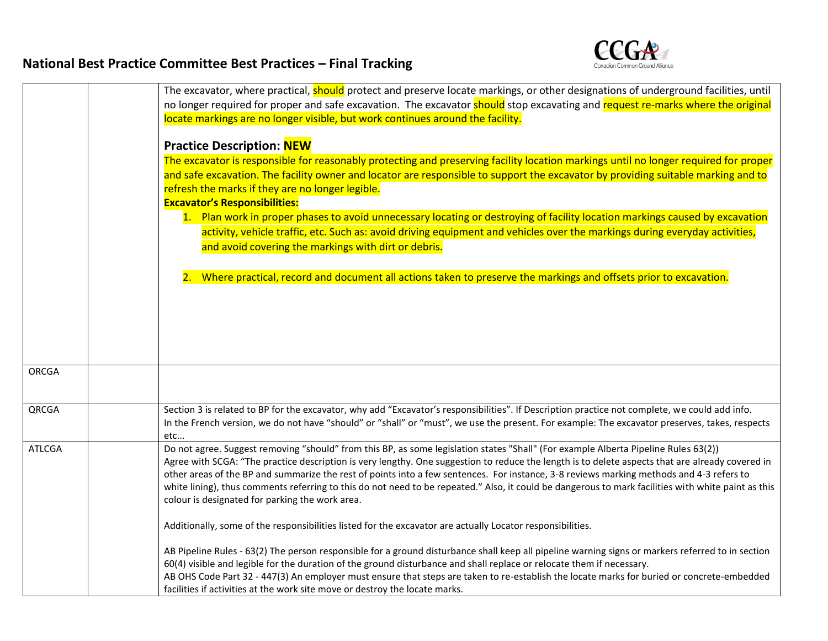

|               | The excavator, where practical, should protect and preserve locate markings, or other designations of underground facilities, until                 |
|---------------|-----------------------------------------------------------------------------------------------------------------------------------------------------|
|               | no longer required for proper and safe excavation. The excavator should stop excavating and request re-marks where the original                     |
|               | locate markings are no longer visible, but work continues around the facility.                                                                      |
|               |                                                                                                                                                     |
|               | <b>Practice Description: NEW</b>                                                                                                                    |
|               | The excavator is responsible for reasonably protecting and preserving facility location markings until no longer required for proper                |
|               | and safe excavation. The facility owner and locator are responsible to support the excavator by providing suitable marking and to                   |
|               | refresh the marks if they are no longer legible.                                                                                                    |
|               | <b>Excavator's Responsibilities:</b>                                                                                                                |
|               | 1. Plan work in proper phases to avoid unnecessary locating or destroying of facility location markings caused by excavation                        |
|               | activity, vehicle traffic, etc. Such as: avoid driving equipment and vehicles over the markings during everyday activities,                         |
|               | and avoid covering the markings with dirt or debris.                                                                                                |
|               |                                                                                                                                                     |
|               |                                                                                                                                                     |
|               | 2. Where practical, record and document all actions taken to preserve the markings and offsets prior to excavation.                                 |
|               |                                                                                                                                                     |
|               |                                                                                                                                                     |
|               |                                                                                                                                                     |
|               |                                                                                                                                                     |
|               |                                                                                                                                                     |
| <b>ORCGA</b>  |                                                                                                                                                     |
|               |                                                                                                                                                     |
|               |                                                                                                                                                     |
| QRCGA         | Section 3 is related to BP for the excavator, why add "Excavator's responsibilities". If Description practice not complete, we could add info.      |
|               | In the French version, we do not have "should" or "shall" or "must", we use the present. For example: The excavator preserves, takes, respects      |
|               | etc                                                                                                                                                 |
| <b>ATLCGA</b> | Do not agree. Suggest removing "should" from this BP, as some legislation states "Shall" (For example Alberta Pipeline Rules 63(2))                 |
|               | Agree with SCGA: "The practice description is very lengthy. One suggestion to reduce the length is to delete aspects that are already covered in    |
|               | other areas of the BP and summarize the rest of points into a few sentences. For instance, 3-8 reviews marking methods and 4-3 refers to            |
|               | white lining), thus comments referring to this do not need to be repeated." Also, it could be dangerous to mark facilities with white paint as this |
|               | colour is designated for parking the work area.                                                                                                     |
|               |                                                                                                                                                     |
|               | Additionally, some of the responsibilities listed for the excavator are actually Locator responsibilities.                                          |
|               | AB Pipeline Rules - 63(2) The person responsible for a ground disturbance shall keep all pipeline warning signs or markers referred to in section   |
|               | 60(4) visible and legible for the duration of the ground disturbance and shall replace or relocate them if necessary.                               |
|               | AB OHS Code Part 32 - 447(3) An employer must ensure that steps are taken to re-establish the locate marks for buried or concrete-embedded          |
|               | facilities if activities at the work site move or destroy the locate marks.                                                                         |